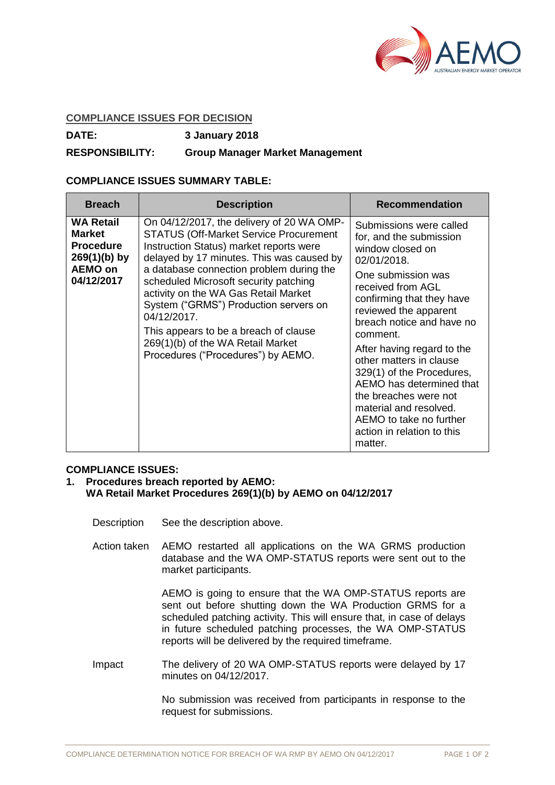

## **COMPLIANCE ISSUES FOR DECISION**

**DATE: 3 January 2018**

## **RESPONSIBILITY: Group Manager Market Management**

## **COMPLIANCE ISSUES SUMMARY TABLE:**

| <b>Breach</b>                                                                                           | <b>Description</b>                                                                                                                                                                                                                                                                                                                                                                                                                                                                          | <b>Recommendation</b>                                                                                                                                                                                                                                                                                                                                                                                                                                                    |
|---------------------------------------------------------------------------------------------------------|---------------------------------------------------------------------------------------------------------------------------------------------------------------------------------------------------------------------------------------------------------------------------------------------------------------------------------------------------------------------------------------------------------------------------------------------------------------------------------------------|--------------------------------------------------------------------------------------------------------------------------------------------------------------------------------------------------------------------------------------------------------------------------------------------------------------------------------------------------------------------------------------------------------------------------------------------------------------------------|
| <b>WA Retail</b><br><b>Market</b><br><b>Procedure</b><br>$269(1)(b)$ by<br><b>AEMO on</b><br>04/12/2017 | On 04/12/2017, the delivery of 20 WA OMP-<br><b>STATUS (Off-Market Service Procurement</b><br>Instruction Status) market reports were<br>delayed by 17 minutes. This was caused by<br>a database connection problem during the<br>scheduled Microsoft security patching<br>activity on the WA Gas Retail Market<br>System ("GRMS") Production servers on<br>04/12/2017.<br>This appears to be a breach of clause<br>269(1)(b) of the WA Retail Market<br>Procedures ("Procedures") by AEMO. | Submissions were called<br>for, and the submission<br>window closed on<br>02/01/2018.<br>One submission was<br>received from AGL<br>confirming that they have<br>reviewed the apparent<br>breach notice and have no<br>comment.<br>After having regard to the<br>other matters in clause<br>329(1) of the Procedures,<br>AEMO has determined that<br>the breaches were not<br>material and resolved.<br>AEMO to take no further<br>action in relation to this<br>matter. |

## **COMPLIANCE ISSUES:**

- **1. Procedures breach reported by AEMO: WA Retail Market Procedures 269(1)(b) by AEMO on 04/12/2017**
	- Description See the description above.
	- Action taken AEMO restarted all applications on the WA GRMS production database and the WA OMP-STATUS reports were sent out to the market participants.

AEMO is going to ensure that the WA OMP-STATUS reports are sent out before shutting down the WA Production GRMS for a scheduled patching activity. This will ensure that, in case of delays in future scheduled patching processes, the WA OMP-STATUS reports will be delivered by the required timeframe.

Impact The delivery of 20 WA OMP-STATUS reports were delayed by 17 minutes on 04/12/2017.

> No submission was received from participants in response to the request for submissions.